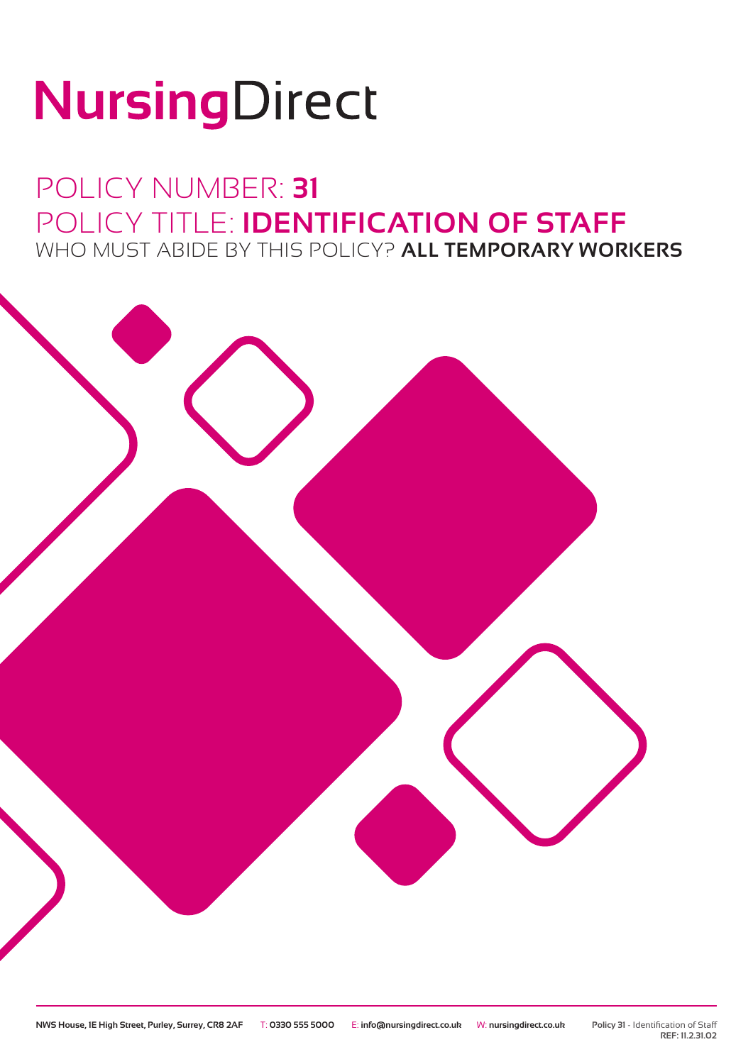# NursingDirect

### POLICY NUMBER: **31** POLICY TITLE: **IDENTIFICATION OF STAFF** WHO MUST ABIDE BY THIS POLICY? **ALL TEMPORARY WORKERS**